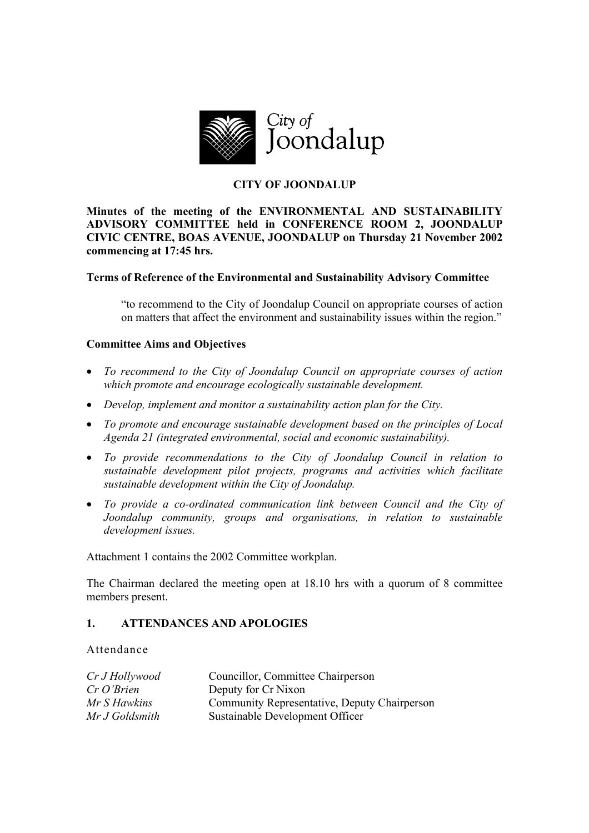

# **CITY OF JOONDALUP**

**Minutes of the meeting of the ENVIRONMENTAL AND SUSTAINABILITY ADVISORY COMMITTEE held in CONFERENCE ROOM 2, JOONDALUP CIVIC CENTRE, BOAS AVENUE, JOONDALUP on Thursday 21 November 2002 commencing at 17:45 hrs.** 

## **Terms of Reference of the Environmental and Sustainability Advisory Committee**

"to recommend to the City of Joondalup Council on appropriate courses of action on matters that affect the environment and sustainability issues within the region."

## **Committee Aims and Objectives**

- *To recommend to the City of Joondalup Council on appropriate courses of action which promote and encourage ecologically sustainable development.*
- *Develop, implement and monitor a sustainability action plan for the City.*
- *To promote and encourage sustainable development based on the principles of Local Agenda 21 (integrated environmental, social and economic sustainability).*
- *To provide recommendations to the City of Joondalup Council in relation to sustainable development pilot projects, programs and activities which facilitate sustainable development within the City of Joondalup.*
- *To provide a co-ordinated communication link between Council and the City of Joondalup community, groups and organisations, in relation to sustainable development issues.*

Attachment 1 contains the 2002 Committee workplan.

The Chairman declared the meeting open at 18.10 hrs with a quorum of 8 committee members present.

## **1. ATTENDANCES AND APOLOGIES**

Attendance

| Cr J Hollywood           | Councillor, Committee Chairperson            |  |
|--------------------------|----------------------------------------------|--|
| $CrO3$ <i>Cr O'Brien</i> | Deputy for Cr Nixon                          |  |
| Mr S Hawkins             | Community Representative, Deputy Chairperson |  |
| Mr J Goldsmith           | Sustainable Development Officer              |  |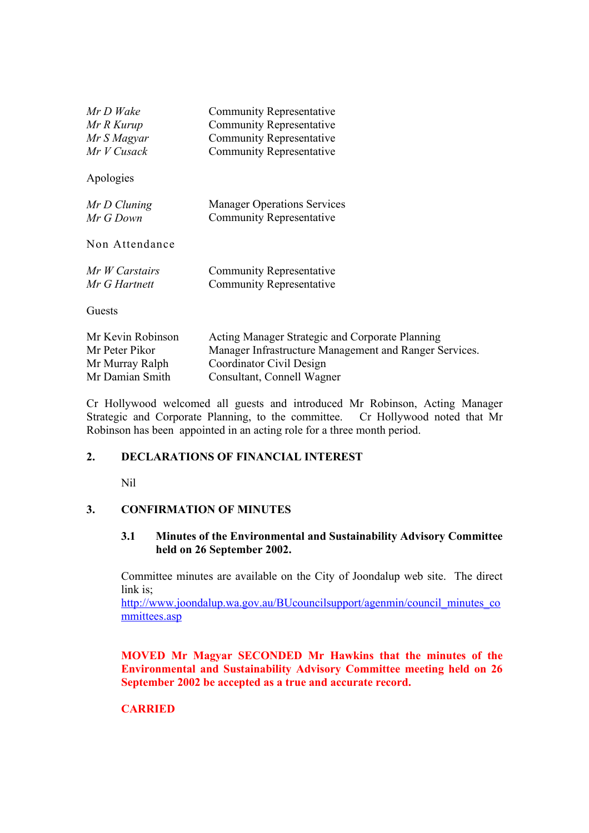| Mr D Wake         | <b>Community Representative</b>                        |
|-------------------|--------------------------------------------------------|
| Mr R Kurup        | <b>Community Representative</b>                        |
| Mr S Magyar       | <b>Community Representative</b>                        |
| Mr V Cusack       | <b>Community Representative</b>                        |
| Apologies         |                                                        |
| Mr D Cluning      | <b>Manager Operations Services</b>                     |
| Mr G Down         | <b>Community Representative</b>                        |
| Non Attendance    |                                                        |
| Mr W Carstairs    | <b>Community Representative</b>                        |
| Mr G Hartnett     | Community Representative                               |
| Guests            |                                                        |
| Mr Kevin Robinson | Acting Manager Strategic and Corporate Planning        |
| Mr Peter Pikor    | Manager Infrastructure Management and Ranger Services. |
| Mr Murray Ralph   | Coordinator Civil Design                               |
| Mr Damian Smith   | Consultant Connell Wagner                              |

Cr Hollywood welcomed all guests and introduced Mr Robinson, Acting Manager Strategic and Corporate Planning, to the committee. Cr Hollywood noted that Mr Robinson has been appointed in an acting role for a three month period.

Consultant, Connell Wagner

## **2. DECLARATIONS OF FINANCIAL INTEREST**

Nil

## **3. CONFIRMATION OF MINUTES**

#### **3.1 Minutes of the Environmental and Sustainability Advisory Committee held on 26 September 2002.**

Committee minutes are available on the City of Joondalup web site. The direct link is;

http://www.joondalup.wa.gov.au/BUcouncilsupport/agenmin/council\_minutes\_co mmittees.asp

**MOVED Mr Magyar SECONDED Mr Hawkins that the minutes of the Environmental and Sustainability Advisory Committee meeting held on 26 September 2002 be accepted as a true and accurate record.** 

## **CARRIED**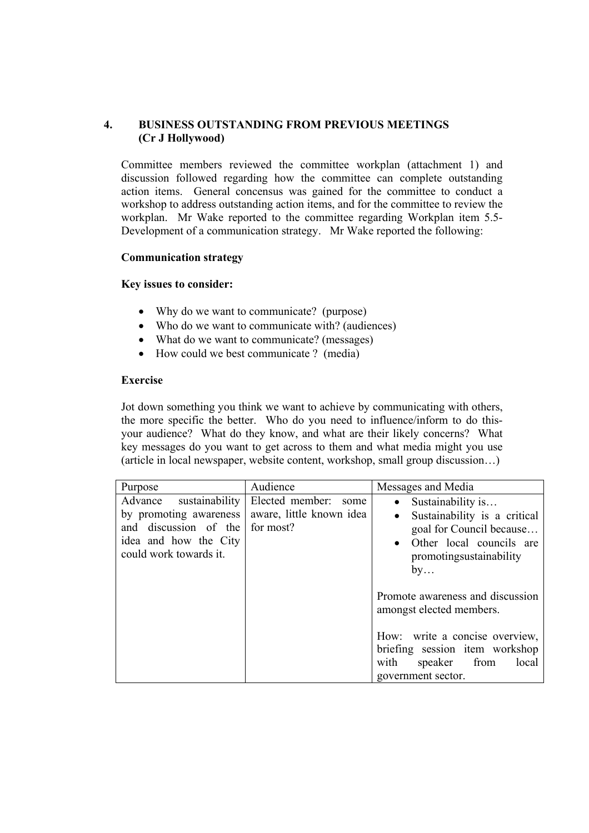## **4. BUSINESS OUTSTANDING FROM PREVIOUS MEETINGS (Cr J Hollywood)**

Committee members reviewed the committee workplan (attachment 1) and discussion followed regarding how the committee can complete outstanding action items. General concensus was gained for the committee to conduct a workshop to address outstanding action items, and for the committee to review the workplan. Mr Wake reported to the committee regarding Workplan item 5.5- Development of a communication strategy. Mr Wake reported the following:

## **Communication strategy**

## **Key issues to consider:**

- Why do we want to communicate? (purpose)
- Who do we want to communicate with? (audiences)
- What do we want to communicate? (messages)
- How could we best communicate ? (media)

## **Exercise**

Jot down something you think we want to achieve by communicating with others, the more specific the better. Who do you need to influence/inform to do thisyour audience? What do they know, and what are their likely concerns? What key messages do you want to get across to them and what media might you use (article in local newspaper, website content, workshop, small group discussion…)

| Purpose                                                                                                                         | Audience                                                         | Messages and Media                                                                                                                                      |
|---------------------------------------------------------------------------------------------------------------------------------|------------------------------------------------------------------|---------------------------------------------------------------------------------------------------------------------------------------------------------|
| sustainability<br>Advance<br>by promoting awareness<br>and discussion of the<br>idea and how the City<br>could work towards it. | Elected member:<br>some<br>aware, little known idea<br>for most? | Sustainability is<br>Sustainability is a critical<br>goal for Council because<br>Other local councils are<br>$\bullet$<br>promotingsustainability<br>by |
|                                                                                                                                 |                                                                  | Promote awareness and discussion<br>amongst elected members.                                                                                            |
|                                                                                                                                 |                                                                  | How: write a concise overview,<br>briefing session item workshop<br>with<br>speaker from<br>local<br>government sector.                                 |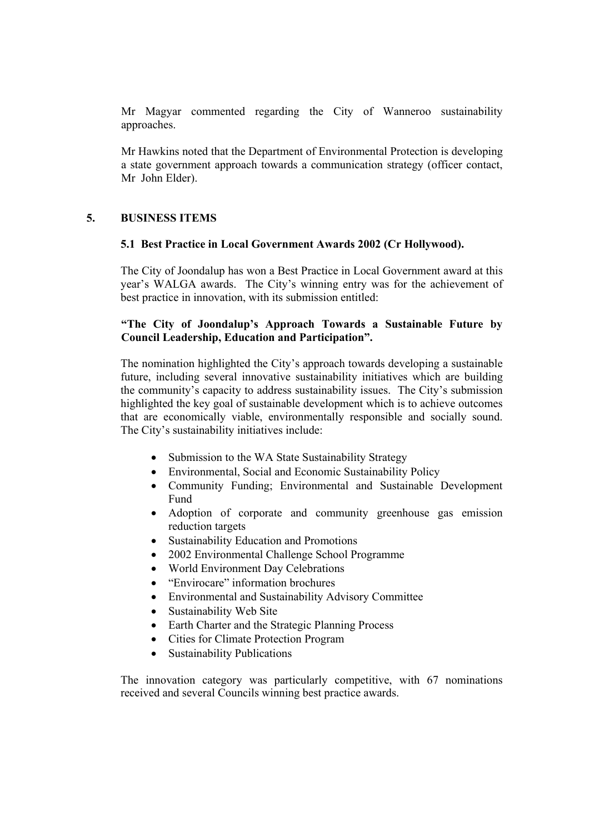Mr Magyar commented regarding the City of Wanneroo sustainability approaches.

Mr Hawkins noted that the Department of Environmental Protection is developing a state government approach towards a communication strategy (officer contact, Mr John Elder).

# **5. BUSINESS ITEMS**

## **5.1 Best Practice in Local Government Awards 2002 (Cr Hollywood).**

The City of Joondalup has won a Best Practice in Local Government award at this year's WALGA awards. The City's winning entry was for the achievement of best practice in innovation, with its submission entitled:

## **"The City of Joondalup's Approach Towards a Sustainable Future by Council Leadership, Education and Participation".**

The nomination highlighted the City's approach towards developing a sustainable future, including several innovative sustainability initiatives which are building the community's capacity to address sustainability issues. The City's submission highlighted the key goal of sustainable development which is to achieve outcomes that are economically viable, environmentally responsible and socially sound. The City's sustainability initiatives include:

- Submission to the WA State Sustainability Strategy
- Environmental, Social and Economic Sustainability Policy
- Community Funding; Environmental and Sustainable Development Fund
- Adoption of corporate and community greenhouse gas emission reduction targets
- Sustainability Education and Promotions
- 2002 Environmental Challenge School Programme
- World Environment Day Celebrations
- "Envirocare" information brochures
- Environmental and Sustainability Advisory Committee
- Sustainability Web Site
- Earth Charter and the Strategic Planning Process
- Cities for Climate Protection Program
- Sustainability Publications

The innovation category was particularly competitive, with 67 nominations received and several Councils winning best practice awards.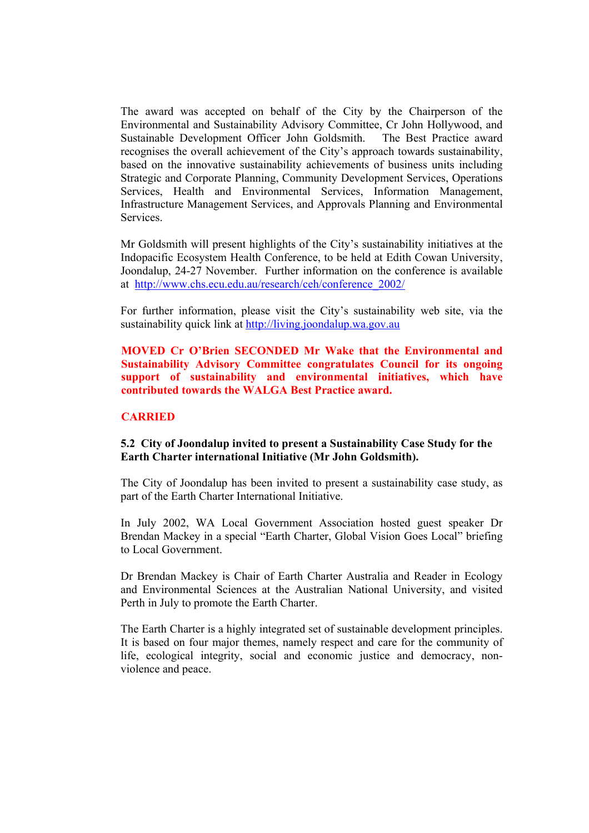The award was accepted on behalf of the City by the Chairperson of the Environmental and Sustainability Advisory Committee, Cr John Hollywood, and Sustainable Development Officer John Goldsmith. The Best Practice award recognises the overall achievement of the City's approach towards sustainability, based on the innovative sustainability achievements of business units including Strategic and Corporate Planning, Community Development Services, Operations Services, Health and Environmental Services, Information Management, Infrastructure Management Services, and Approvals Planning and Environmental Services.

Mr Goldsmith will present highlights of the City's sustainability initiatives at the Indopacific Ecosystem Health Conference, to be held at Edith Cowan University, Joondalup, 24-27 November. Further information on the conference is available at http://www.chs.ecu.edu.au/research/ceh/conference\_2002/

For further information, please visit the City's sustainability web site, via the sustainability quick link at http://living.joondalup.wa.gov.au

**MOVED Cr O'Brien SECONDED Mr Wake that the Environmental and Sustainability Advisory Committee congratulates Council for its ongoing support of sustainability and environmental initiatives, which have contributed towards the WALGA Best Practice award.** 

#### **CARRIED**

#### **5.2 City of Joondalup invited to present a Sustainability Case Study for the Earth Charter international Initiative (Mr John Goldsmith).**

The City of Joondalup has been invited to present a sustainability case study, as part of the Earth Charter International Initiative.

In July 2002, WA Local Government Association hosted guest speaker Dr Brendan Mackey in a special "Earth Charter, Global Vision Goes Local" briefing to Local Government.

Dr Brendan Mackey is Chair of Earth Charter Australia and Reader in Ecology and Environmental Sciences at the Australian National University, and visited Perth in July to promote the Earth Charter.

The Earth Charter is a highly integrated set of sustainable development principles. It is based on four major themes, namely respect and care for the community of life, ecological integrity, social and economic justice and democracy, nonviolence and peace.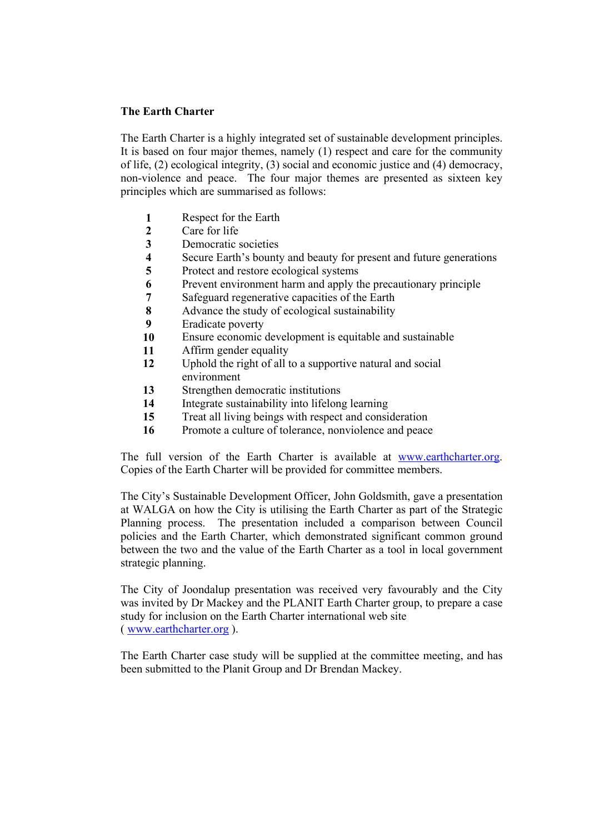## **The Earth Charter**

The Earth Charter is a highly integrated set of sustainable development principles. It is based on four major themes, namely (1) respect and care for the community of life, (2) ecological integrity, (3) social and economic justice and (4) democracy, non-violence and peace. The four major themes are presented as sixteen key principles which are summarised as follows:

- **1** Respect for the Earth
- **2** Care for life
- **3** Democratic societies
- **4 5 Secure Earth's bounty and beauty for present and future generations<br><b>5** Protect and restore ecological systems
- **5** Protect and restore ecological systems
- **6** Prevent environment harm and apply the precautionary principle<br> **8** Safeguard regenerative capacities of the Earth
- **7** Safeguard regenerative capacities of the Earth
- **8** Advance the study of ecological sustainability
- **9** Eradicate poverty
- **10** Ensure economic development is equitable and sustainable
- **11** Affirm gender equality
- **12** Uphold the right of all to a supportive natural and social environment
- **13** Strengthen democratic institutions
- **14** Integrate sustainability into lifelong learning
- **15** Treat all living beings with respect and consideration
- **16** Promote a culture of tolerance, nonviolence and peace

The full version of the Earth Charter is available at www.earthcharter.org. Copies of the Earth Charter will be provided for committee members.

The City's Sustainable Development Officer, John Goldsmith, gave a presentation at WALGA on how the City is utilising the Earth Charter as part of the Strategic Planning process. The presentation included a comparison between Council policies and the Earth Charter, which demonstrated significant common ground between the two and the value of the Earth Charter as a tool in local government strategic planning.

The City of Joondalup presentation was received very favourably and the City was invited by Dr Mackey and the PLANIT Earth Charter group, to prepare a case study for inclusion on the Earth Charter international web site ( www.earthcharter.org ).

The Earth Charter case study will be supplied at the committee meeting, and has been submitted to the Planit Group and Dr Brendan Mackey.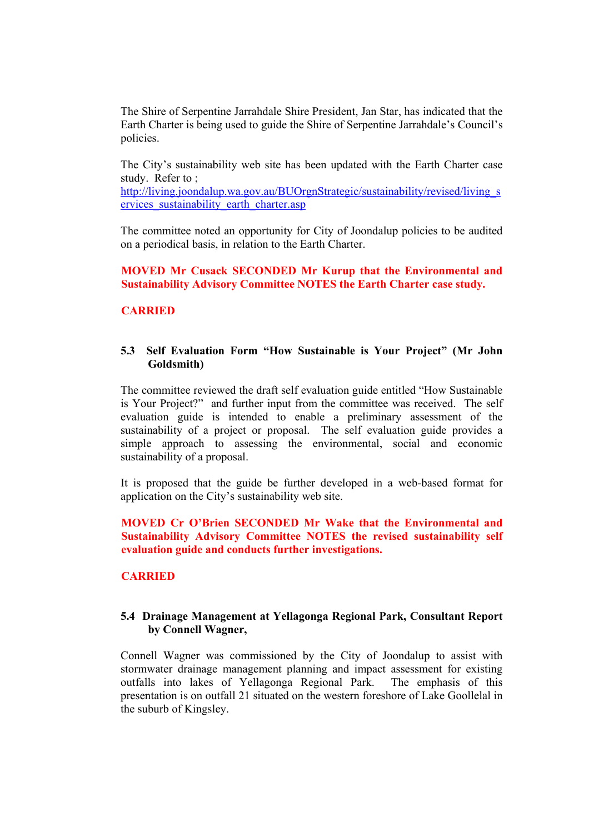The Shire of Serpentine Jarrahdale Shire President, Jan Star, has indicated that the Earth Charter is being used to guide the Shire of Serpentine Jarrahdale's Council's policies.

The City's sustainability web site has been updated with the Earth Charter case study. Refer to ;

http://living.joondalup.wa.gov.au/BUOrgnStrategic/sustainability/revised/living\_s ervices sustainability earth charter.asp

The committee noted an opportunity for City of Joondalup policies to be audited on a periodical basis, in relation to the Earth Charter.

**MOVED Mr Cusack SECONDED Mr Kurup that the Environmental and Sustainability Advisory Committee NOTES the Earth Charter case study.** 

## **CARRIED**

## **5.3 Self Evaluation Form "How Sustainable is Your Project" (Mr John Goldsmith)**

The committee reviewed the draft self evaluation guide entitled "How Sustainable is Your Project?" and further input from the committee was received. The self evaluation guide is intended to enable a preliminary assessment of the sustainability of a project or proposal. The self evaluation guide provides a simple approach to assessing the environmental, social and economic sustainability of a proposal.

It is proposed that the guide be further developed in a web-based format for application on the City's sustainability web site.

## **MOVED Cr O'Brien SECONDED Mr Wake that the Environmental and Sustainability Advisory Committee NOTES the revised sustainability self evaluation guide and conducts further investigations.**

## **CARRIED**

## **5.4 Drainage Management at Yellagonga Regional Park, Consultant Report by Connell Wagner,**

Connell Wagner was commissioned by the City of Joondalup to assist with stormwater drainage management planning and impact assessment for existing outfalls into lakes of Yellagonga Regional Park. The emphasis of this presentation is on outfall 21 situated on the western foreshore of Lake Goollelal in the suburb of Kingsley.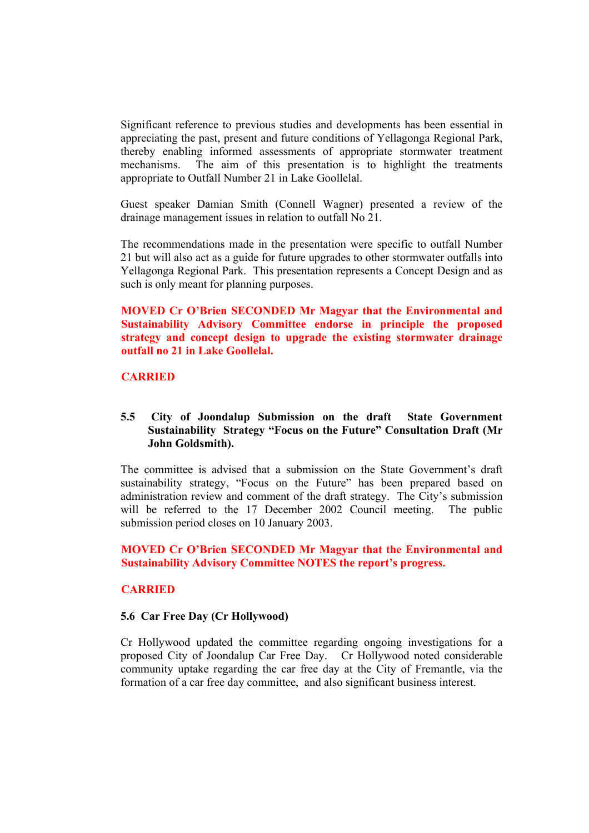Significant reference to previous studies and developments has been essential in appreciating the past, present and future conditions of Yellagonga Regional Park, thereby enabling informed assessments of appropriate stormwater treatment mechanisms. The aim of this presentation is to highlight the treatments appropriate to Outfall Number 21 in Lake Goollelal.

Guest speaker Damian Smith (Connell Wagner) presented a review of the drainage management issues in relation to outfall No 21.

The recommendations made in the presentation were specific to outfall Number 21 but will also act as a guide for future upgrades to other stormwater outfalls into Yellagonga Regional Park. This presentation represents a Concept Design and as such is only meant for planning purposes.

**MOVED Cr O'Brien SECONDED Mr Magyar that the Environmental and Sustainability Advisory Committee endorse in principle the proposed strategy and concept design to upgrade the existing stormwater drainage outfall no 21 in Lake Goollelal.** 

## **CARRIED**

#### **5.5 City of Joondalup Submission on the draft State Government Sustainability Strategy "Focus on the Future" Consultation Draft (Mr John Goldsmith).**

The committee is advised that a submission on the State Government's draft sustainability strategy, "Focus on the Future" has been prepared based on administration review and comment of the draft strategy. The City's submission will be referred to the 17 December 2002 Council meeting. The public submission period closes on 10 January 2003.

#### **MOVED Cr O'Brien SECONDED Mr Magyar that the Environmental and Sustainability Advisory Committee NOTES the report's progress.**

#### **CARRIED**

#### **5.6 Car Free Day (Cr Hollywood)**

Cr Hollywood updated the committee regarding ongoing investigations for a proposed City of Joondalup Car Free Day. Cr Hollywood noted considerable community uptake regarding the car free day at the City of Fremantle, via the formation of a car free day committee, and also significant business interest.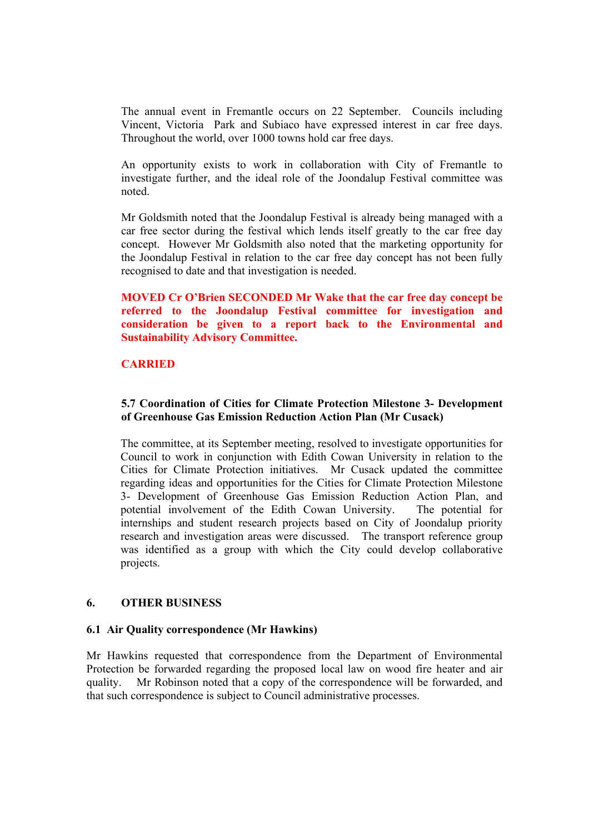The annual event in Fremantle occurs on 22 September. Councils including Vincent, Victoria Park and Subiaco have expressed interest in car free days. Throughout the world, over 1000 towns hold car free days.

An opportunity exists to work in collaboration with City of Fremantle to investigate further, and the ideal role of the Joondalup Festival committee was noted.

Mr Goldsmith noted that the Joondalup Festival is already being managed with a car free sector during the festival which lends itself greatly to the car free day concept. However Mr Goldsmith also noted that the marketing opportunity for the Joondalup Festival in relation to the car free day concept has not been fully recognised to date and that investigation is needed.

**MOVED Cr O'Brien SECONDED Mr Wake that the car free day concept be referred to the Joondalup Festival committee for investigation and consideration be given to a report back to the Environmental and Sustainability Advisory Committee.** 

## **CARRIED**

## **5.7 Coordination of Cities for Climate Protection Milestone 3- Development of Greenhouse Gas Emission Reduction Action Plan (Mr Cusack)**

The committee, at its September meeting, resolved to investigate opportunities for Council to work in conjunction with Edith Cowan University in relation to the Cities for Climate Protection initiatives. Mr Cusack updated the committee regarding ideas and opportunities for the Cities for Climate Protection Milestone 3- Development of Greenhouse Gas Emission Reduction Action Plan, and potential involvement of the Edith Cowan University. The potential for internships and student research projects based on City of Joondalup priority research and investigation areas were discussed. The transport reference group was identified as a group with which the City could develop collaborative projects.

## **6. OTHER BUSINESS**

## **6.1 Air Quality correspondence (Mr Hawkins)**

Mr Hawkins requested that correspondence from the Department of Environmental Protection be forwarded regarding the proposed local law on wood fire heater and air quality. Mr Robinson noted that a copy of the correspondence will be forwarded, and that such correspondence is subject to Council administrative processes.